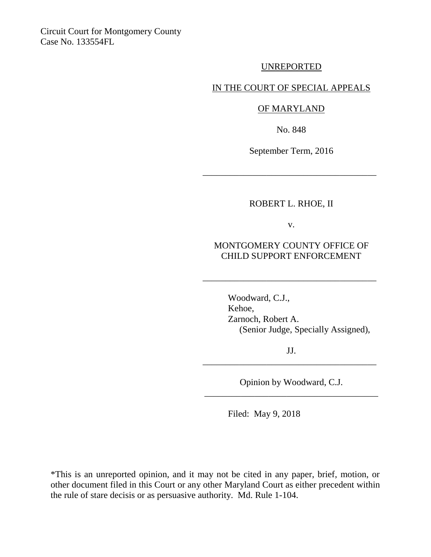Circuit Court for Montgomery County Case No. 133554FL

UNREPORTED

IN THE COURT OF SPECIAL APPEALS

OF MARYLAND

No. 848

September Term, 2016

\_\_\_\_\_\_\_\_\_\_\_\_\_\_\_\_\_\_\_\_\_\_\_\_\_\_\_\_\_\_\_\_\_\_\_\_\_\_

## ROBERT L. RHOE, II

v.

## MONTGOMERY COUNTY OFFICE OF CHILD SUPPORT ENFORCEMENT

\_\_\_\_\_\_\_\_\_\_\_\_\_\_\_\_\_\_\_\_\_\_\_\_\_\_\_\_\_\_\_\_\_\_\_\_\_\_

Woodward, C.J., Kehoe, Zarnoch, Robert A. (Senior Judge, Specially Assigned),

JJ. \_\_\_\_\_\_\_\_\_\_\_\_\_\_\_\_\_\_\_\_\_\_\_\_\_\_\_\_\_\_\_\_\_\_\_\_\_\_

Opinion by Woodward, C.J. \_\_\_\_\_\_\_\_\_\_\_\_\_\_\_\_\_\_\_\_\_\_\_\_\_\_\_\_\_\_\_\_\_\_\_\_\_\_

Filed: May 9, 2018

\*This is an unreported opinion, and it may not be cited in any paper, brief, motion, or other document filed in this Court or any other Maryland Court as either precedent within the rule of stare decisis or as persuasive authority. Md. Rule 1-104.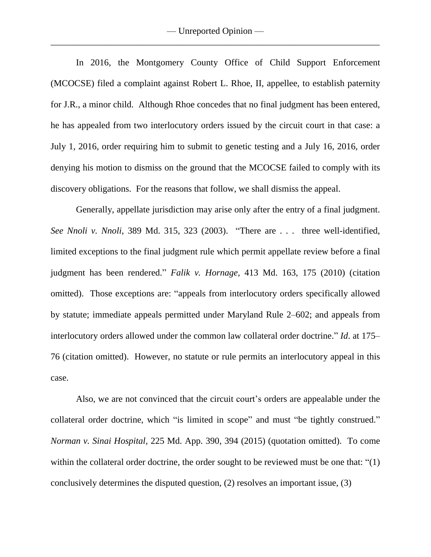In 2016, the Montgomery County Office of Child Support Enforcement (MCOCSE) filed a complaint against Robert L. Rhoe, II, appellee, to establish paternity for J.R., a minor child. Although Rhoe concedes that no final judgment has been entered, he has appealed from two interlocutory orders issued by the circuit court in that case: a July 1, 2016, order requiring him to submit to genetic testing and a July 16, 2016, order denying his motion to dismiss on the ground that the MCOCSE failed to comply with its discovery obligations. For the reasons that follow, we shall dismiss the appeal.

Generally, appellate jurisdiction may arise only after the entry of a final judgment. *See Nnoli v. Nnoli*, 389 Md. 315, 323 (2003). "There are . . . three well-identified, limited exceptions to the final judgment rule which permit appellate review before a final judgment has been rendered." *Falik v. [Hornage,](https://1.next.westlaw.com/Link/Document/FullText?findType=Y&serNum=2021678620&pubNum=162&originatingDoc=I22f369199e7311e0a34df17ea74c323f&refType=RP&fi=co_pp_sp_162_1241&originationContext=document&transitionType=DocumentItem&contextData=(sc.Search)#co_pp_sp_162_1241)* 413 Md. 163, 175 (2010) (citation omitted). Those exceptions are: "appeals from interlocutory orders specifically allowed by statute; immediate appeals permitted under [Maryland](https://1.next.westlaw.com/Link/Document/FullText?findType=L&pubNum=1006359&cite=MDRCPCIRR2-602&originatingDoc=I22f369199e7311e0a34df17ea74c323f&refType=LQ&originationContext=document&transitionType=DocumentItem&contextData=(sc.Search)) Rule 2–602; and appeals from interlocutory orders allowed under the common law collateral order doctrine." *Id*. at [175–](https://1.next.westlaw.com/Link/Document/FullText?findType=Y&serNum=2021678620&pubNum=162&originatingDoc=I22f369199e7311e0a34df17ea74c323f&refType=RP&fi=co_pp_sp_162_1242&originationContext=document&transitionType=DocumentItem&contextData=(sc.Search)#co_pp_sp_162_1242) [76](https://1.next.westlaw.com/Link/Document/FullText?findType=Y&serNum=2021678620&pubNum=162&originatingDoc=I22f369199e7311e0a34df17ea74c323f&refType=RP&fi=co_pp_sp_162_1242&originationContext=document&transitionType=DocumentItem&contextData=(sc.Search)#co_pp_sp_162_1242) (citation omitted). However, no statute or rule permits an interlocutory appeal in this case.

Also, we are not convinced that the circuit court's orders are appealable under the collateral order doctrine, which "is limited in scope" and must "be tightly construed." *Norman v. Sinai [Hospital,](https://1.next.westlaw.com/Link/Document/FullText?findType=Y&serNum=2037473877&pubNum=0000537&originatingDoc=I81acf220482e11e7b7978f65e9bf93b3&refType=RP&fi=co_pp_sp_537_394&originationContext=document&transitionType=DocumentItem&contextData=(sc.Search)#co_pp_sp_537_394)* 225 Md. App. 390, 394 (2015) (quotation omitted). To come within the collateral order doctrine, the order sought to be reviewed must be one that: "(1) conclusively determines the disputed question, (2) resolves an important issue, (3)